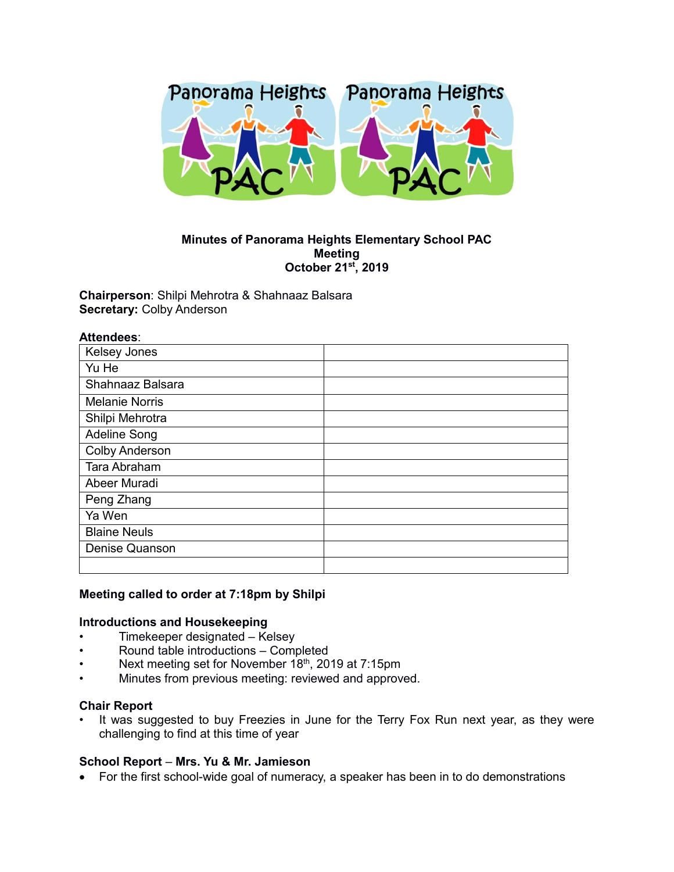

# **Minutes of Panorama Heights Elementary School PAC Meeting October 21st, 2019**

**Chairperson**: Shilpi Mehrotra & Shahnaaz Balsara **Secretary:** Colby Anderson

| <b>Kelsey Jones</b>   |  |
|-----------------------|--|
| Yu He                 |  |
| Shahnaaz Balsara      |  |
| <b>Melanie Norris</b> |  |
| Shilpi Mehrotra       |  |
| <b>Adeline Song</b>   |  |
| <b>Colby Anderson</b> |  |
| Tara Abraham          |  |
| Abeer Muradi          |  |
| Peng Zhang            |  |
| Ya Wen                |  |
| <b>Blaine Neuls</b>   |  |
| <b>Denise Quanson</b> |  |
|                       |  |

# **Meeting called to order at 7:18pm by Shilpi**

#### **Introductions and Housekeeping**

- Timekeeper designated Kelsey
- Round table introductions Completed
- Next meeting set for November 18<sup>th</sup>, 2019 at 7:15pm
- Minutes from previous meeting: reviewed and approved.

# **Chair Report**

It was suggested to buy Freezies in June for the Terry Fox Run next year, as they were challenging to find at this time of year

#### **School Report** – **Mrs. Yu & Mr. Jamieson**

For the first school-wide goal of numeracy, a speaker has been in to do demonstrations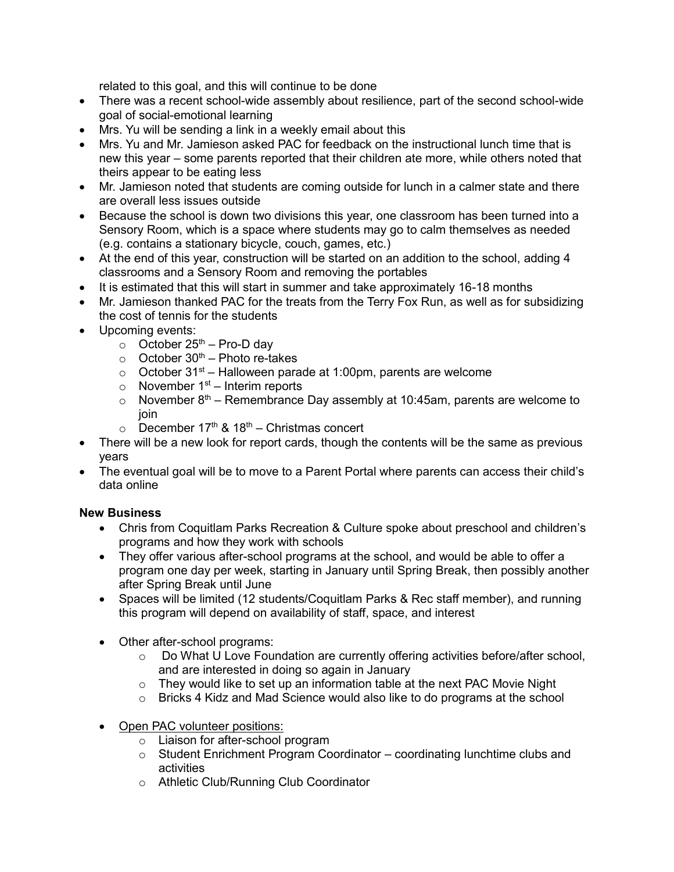related to this goal, and this will continue to be done

- There was a recent school-wide assembly about resilience, part of the second school-wide goal of social-emotional learning
- Mrs. Yu will be sending a link in a weekly email about this
- Mrs. Yu and Mr. Jamieson asked PAC for feedback on the instructional lunch time that is new this year – some parents reported that their children ate more, while others noted that theirs appear to be eating less
- Mr. Jamieson noted that students are coming outside for lunch in a calmer state and there are overall less issues outside
- Because the school is down two divisions this year, one classroom has been turned into a Sensory Room, which is a space where students may go to calm themselves as needed (e.g. contains a stationary bicycle, couch, games, etc.)
- At the end of this year, construction will be started on an addition to the school, adding 4 classrooms and a Sensory Room and removing the portables
- It is estimated that this will start in summer and take approximately 16-18 months
- Mr. Jamieson thanked PAC for the treats from the Terry Fox Run, as well as for subsidizing the cost of tennis for the students
- Upcoming events:
	- $\circ$  October 25<sup>th</sup> Pro-D day
	- $\circ$  October 30<sup>th</sup> Photo re-takes
	- $\circ$  October 31<sup>st</sup> Halloween parade at 1:00pm, parents are welcome
	- $\circ$  November 1<sup>st</sup> Interim reports
	- $\circ$  November 8<sup>th</sup> Remembrance Day assembly at 10:45am, parents are welcome to join
	- $\circ$  December 17<sup>th</sup> & 18<sup>th</sup> Christmas concert
- There will be a new look for report cards, though the contents will be the same as previous years
- The eventual goal will be to move to a Parent Portal where parents can access their child's data online

# **New Business**

- Chris from Coquitlam Parks Recreation & Culture spoke about preschool and children's programs and how they work with schools
- They offer various after-school programs at the school, and would be able to offer a program one day per week, starting in January until Spring Break, then possibly another after Spring Break until June
- Spaces will be limited (12 students/Coquitlam Parks & Rec staff member), and running this program will depend on availability of staff, space, and interest
- Other after-school programs:
	- o Do What U Love Foundation are currently offering activities before/after school, and are interested in doing so again in January
	- $\circ$  They would like to set up an information table at the next PAC Movie Night
	- o Bricks 4 Kidz and Mad Science would also like to do programs at the school
- Open PAC volunteer positions:
	- o Liaison for after-school program
	- $\circ$  Student Enrichment Program Coordinator coordinating lunchtime clubs and activities
	- o Athletic Club/Running Club Coordinator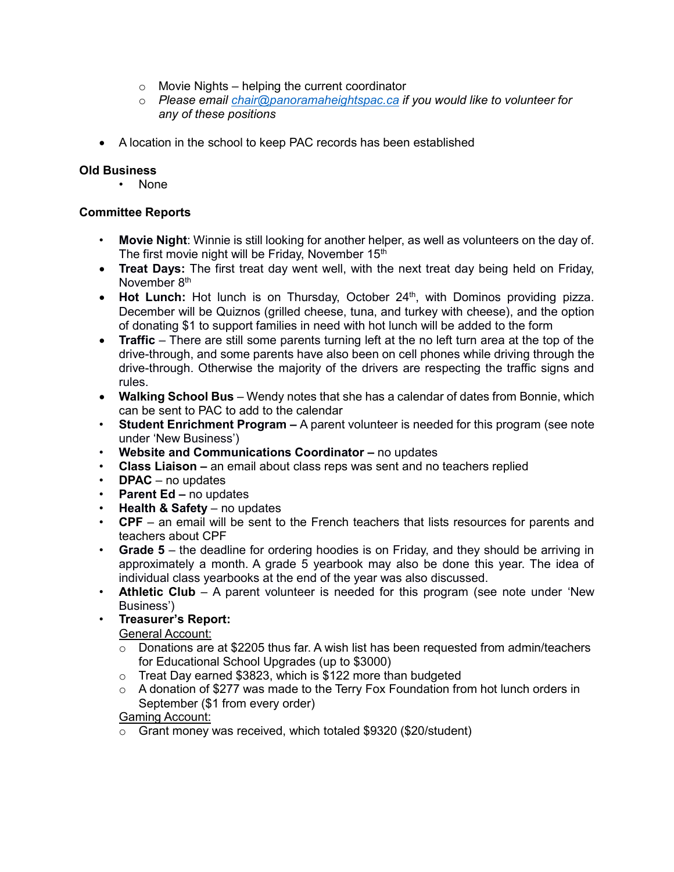- $\circ$  Movie Nights helping the current coordinator
- o *Please email [chair@panoramaheightspac.ca](mailto:chair@panoramaheightspac.ca) if you would like to volunteer for any of these positions*
- A location in the school to keep PAC records has been established

# **Old Business**

• None

# **Committee Reports**

- **Movie Night**: Winnie is still looking for another helper, as well as volunteers on the day of. The first movie night will be Friday, November 15<sup>th</sup>
- **Treat Days:** The first treat day went well, with the next treat day being held on Friday, November 8<sup>th</sup>
- Hot Lunch: Hot lunch is on Thursday, October 24<sup>th</sup>, with Dominos providing pizza. December will be Quiznos (grilled cheese, tuna, and turkey with cheese), and the option of donating \$1 to support families in need with hot lunch will be added to the form
- **Traffic** There are still some parents turning left at the no left turn area at the top of the drive-through, and some parents have also been on cell phones while driving through the drive-through. Otherwise the majority of the drivers are respecting the traffic signs and rules.
- **Walking School Bus** Wendy notes that she has a calendar of dates from Bonnie, which can be sent to PAC to add to the calendar
- **Student Enrichment Program –** A parent volunteer is needed for this program (see note under 'New Business')
- **Website and Communications Coordinator –** no updates
- **Class Liaison –** an email about class reps was sent and no teachers replied
- **DPAC**  no updates
- **Parent Ed –** no updates
- **Health & Safety** no updates
- **CPF** an email will be sent to the French teachers that lists resources for parents and teachers about CPF
- **Grade 5** the deadline for ordering hoodies is on Friday, and they should be arriving in approximately a month. A grade 5 yearbook may also be done this year. The idea of individual class yearbooks at the end of the year was also discussed.
- **Athletic Club** A parent volunteer is needed for this program (see note under 'New Business')
- **Treasurer's Report:**

General Account:

- $\circ$  Donations are at \$2205 thus far. A wish list has been requested from admin/teachers for Educational School Upgrades (up to \$3000)
- o Treat Day earned \$3823, which is \$122 more than budgeted
- $\circ$  A donation of \$277 was made to the Terry Fox Foundation from hot lunch orders in September (\$1 from every order)

# Gaming Account:

o Grant money was received, which totaled \$9320 (\$20/student)